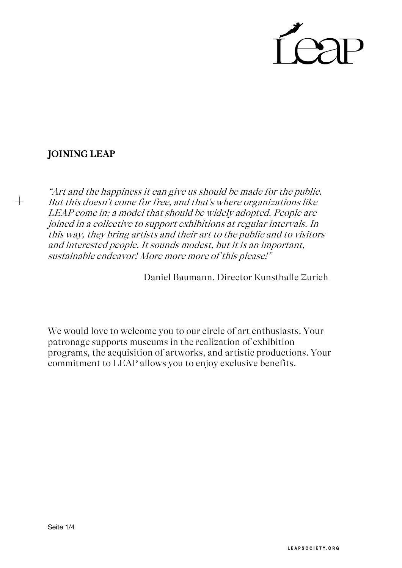

# JOINING LEAP

 $+$ 

"Art and the happiness it can give us should be made for the public. But this doesn't come for free, and that's where organizations like LEAP come in: <sup>a</sup> model that should be widely adopted. People are joined in <sup>a</sup> collective to support exhibitions at regular intervals. In this way, they bring artists and their art to the public and to visitors and interested people. It sounds modest, but it is an important, sustainable endeavor! More more more of this please!"

Daniel Baumann, Director Kunsthalle Zurich

We would love to welcome you to our circle of art enthusiasts. Your patronage supports museums in the realization of exhibition programs, the acquisition of artworks, and artistic productions. Your commitment to LEAP allows you to enjoy exclusive benefits.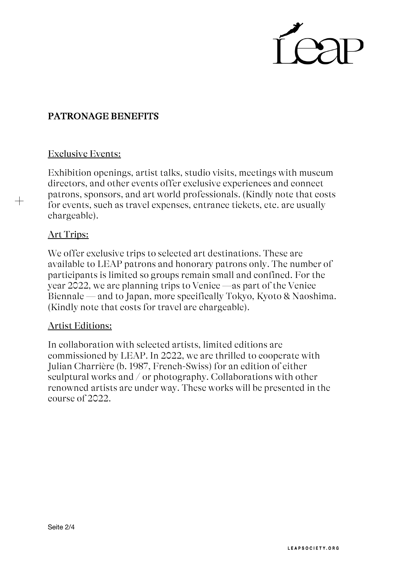

## PATRONAGE BENEFITS

### Exclusive Events:

Exhibition openings, artist talks, studio visits, meetings with museum directors, and other events offer exclusive experiences and connect patrons, sponsors, and art world professionals. (Kindly note that costs for events, such as travel expenses, entrance tickets, etc. are usually chargeable).

### Art Trips:

 $+$ 

We offer exclusive trips to selected art destinations. These are available to LEAP patrons and honorary patrons only. The number of participants is limited so groups remain small and confined. For the year 2022, we are planning trips to Venice —as part of the Venice Biennale — and to Japan, more specifically Tokyo, Kyoto & Naoshima. (Kindly note that costs for travel are chargeable).

### Artist Editions:

In collaboration with selected artists, limited editions are commissioned by LEAP. In 2022, we are thrilled to cooperate with Julian Charrière (b. 1987, French-Swiss) for an edition of either sculptural works and / or photography. Collaborations with other renowned artists are under way. These works will be presented in the course of 2022.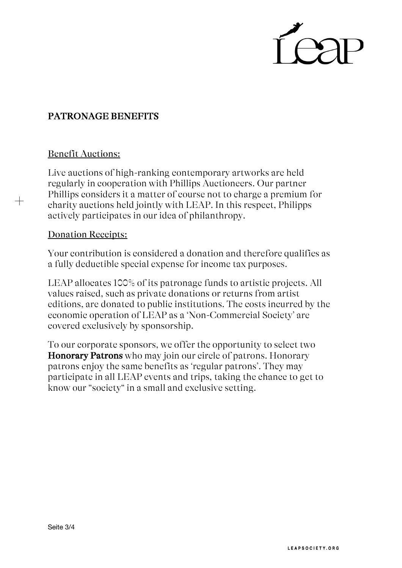

## PATRONAGE BENEFITS

### Benefit Auctions:

 $+$ 

Live auctions of high-ranking contemporary artworks are held regularly in cooperation with Phillips Auctioneers. Our partner Phillips considers it a matter of course not to charge a premium for charity auctions held jointly with LEAP. In this respect, Philipps actively participates in our idea of philanthropy.

#### Donation Receipts:

Your contribution is considered a donation and therefore qualifies as a fully deductible special expense for income tax purposes.

LEAP allocates 100% of its patronage funds to artistic projects. All values raised, such as private donations or returns from artist editions, are donated to public institutions. The costs incurred by the economic operation of LEAP as a 'Non-Commercial Society' are covered exclusively by sponsorship.

To our corporate sponsors, we offer the opportunity to select two Honorary Patrons who may join our circle of patrons. Honorary patrons enjoy the same benefits as 'regular patrons'. They may participate in all LEAP events and trips, taking the chance to get to know our "society" in a small and exclusive setting.